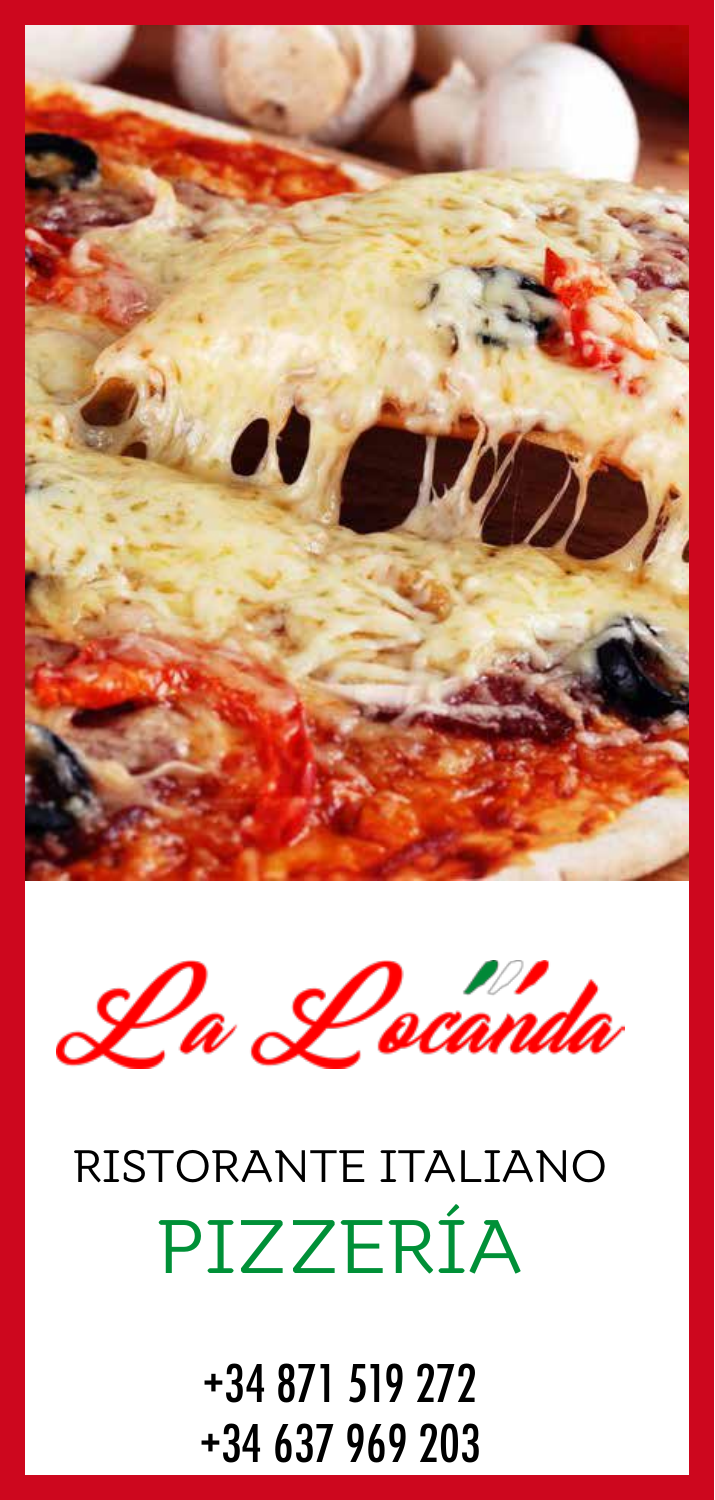



# RISTORANTE ITALIANO PIZZERÍA

+34 871 519 272 +34 637 969 203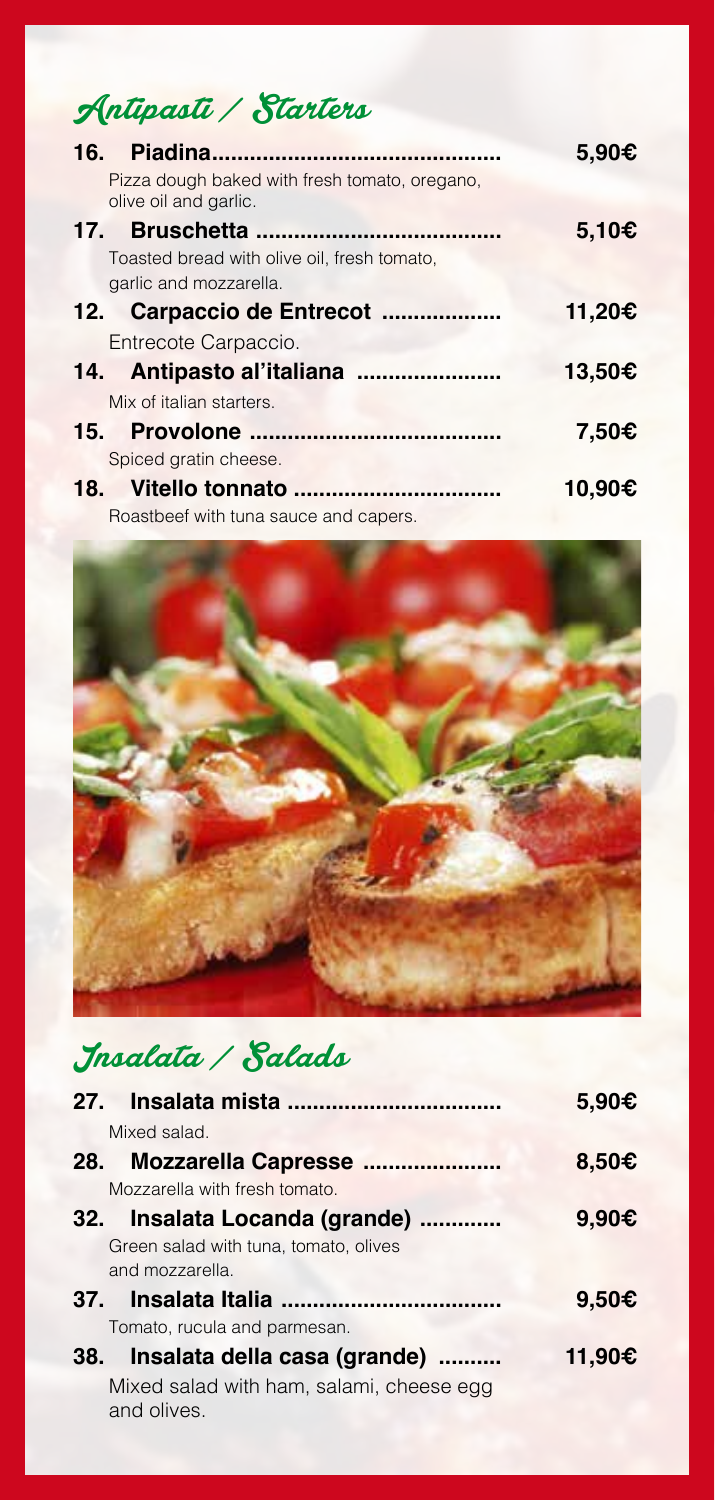## Antipasti / Starters

|                                                                        | 5.90€  |
|------------------------------------------------------------------------|--------|
| Pizza dough baked with fresh tomato, oregano,<br>olive oil and garlic. |        |
|                                                                        | 5,10€  |
| Toasted bread with olive oil, fresh tomato,                            |        |
| garlic and mozzarella.                                                 |        |
| 12. Carpaccio de Entrecot                                              | 11,20€ |
| Entrecote Carpaccio.                                                   |        |
|                                                                        | 13,50€ |
| Mix of italian starters.                                               |        |
|                                                                        | 7.50€  |
| Spiced gratin cheese.                                                  |        |
|                                                                        | 10.90€ |
| Roastbeef with tuna sauce and capers.                                  |        |



# Insalata / Salads

|                                                         | 5.90€           |
|---------------------------------------------------------|-----------------|
| Mixed salad.                                            |                 |
| Mozzarella Capresse<br>28.                              | 8,50 $\epsilon$ |
| Mozzarella with fresh tomato.                           |                 |
| 32. Insalata Locanda (grande)                           | 9,90€           |
| Green salad with tuna, tomato, olives                   |                 |
| and mozzarella.                                         |                 |
|                                                         | 9,50€           |
| Tomato, rucula and parmesan.                            |                 |
| 38. Insalata della casa (grande)                        | 11,90€          |
| Mixed salad with ham, salami, cheese egg<br>and olives. |                 |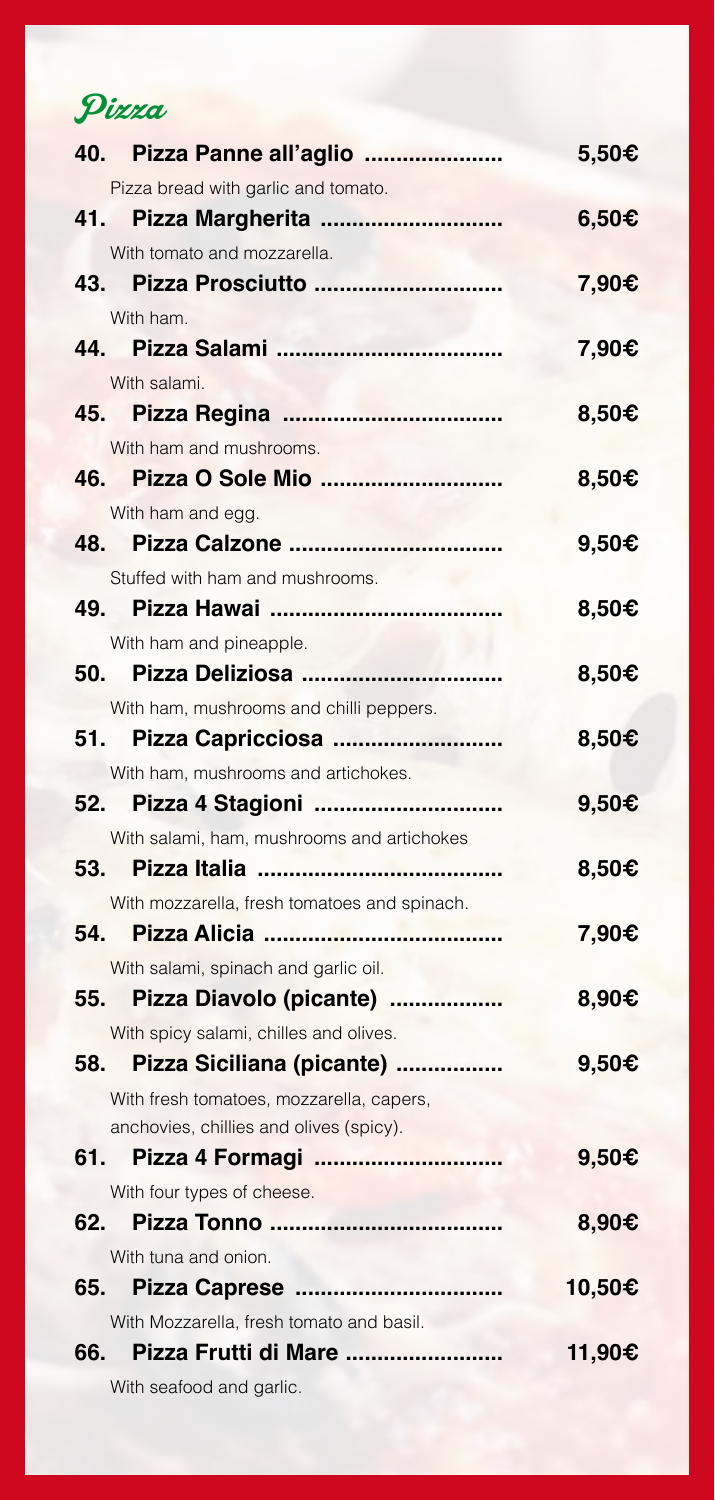Pizza

|       | 40. Pizza Panne all'aglio                    | 5,50€           |
|-------|----------------------------------------------|-----------------|
|       | Pizza bread with garlic and tomato.          |                 |
| 41.   | Pizza Margherita                             | 6,50C           |
|       | With tomato and mozzarella.                  |                 |
| 43.   | Pizza Prosciutto                             | 7,90€           |
|       | With ham.                                    |                 |
| 44.   |                                              | 7,90€           |
|       | With salami.                                 |                 |
| 45.   |                                              | 8,50 $\epsilon$ |
|       | With ham and mushrooms.                      |                 |
| 46.   |                                              | 8,50€           |
|       | With ham and egg.                            |                 |
| 48.   |                                              | 9,50€           |
|       | Stuffed with ham and mushrooms.              |                 |
| 49.   |                                              | 8,50€           |
|       | With ham and pineapple.                      |                 |
| 50.   | Pizza Deliziosa                              | 8,50 $\epsilon$ |
|       | With ham, mushrooms and chilli peppers.      |                 |
| 51.   | Pizza Capricciosa                            | 8,50€           |
|       | With ham, mushrooms and artichokes.          |                 |
|       |                                              | 9,50€           |
|       | With salami, ham, mushrooms and artichokes   |                 |
| 53.   |                                              | 8,50€           |
|       | With mozzarella, fresh tomatoes and spinach. |                 |
| 54.   |                                              | 7,90€           |
|       | With salami, spinach and garlic oil.         |                 |
| 55.   | Pizza Diavolo (picante)                      | 8,90€           |
|       | With spicy salami, chilles and olives.       |                 |
| 58.   | Pizza Siciliana (picante)                    | 9,50€           |
|       | With fresh tomatoes, mozzarella, capers,     |                 |
|       | anchovies, chillies and olives (spicy).      |                 |
| 61. – | Pizza 4 Formagi                              | 9,50€           |
|       | With four types of cheese.                   |                 |
| 62.   |                                              | 8,90C           |
|       | With tuna and onion.                         |                 |
| 65.   |                                              | 10,50€          |
|       | With Mozzarella, fresh tomato and basil.     |                 |
|       | 66. Pizza Frutti di Mare                     | 11,90€          |
|       | With seafood and garlic.                     |                 |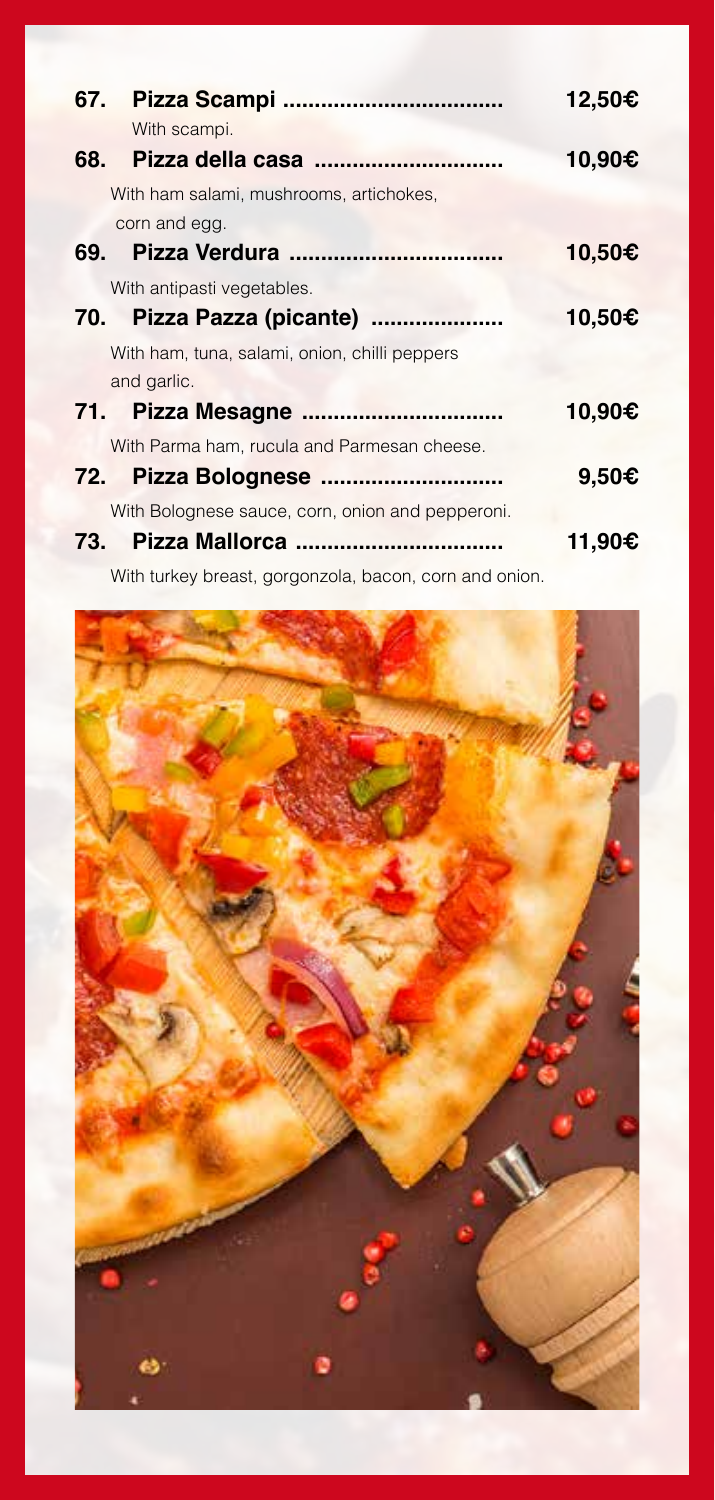|                                                        | 12,50€ |
|--------------------------------------------------------|--------|
| With scampi.                                           |        |
|                                                        | 10,90€ |
| With ham salami, mushrooms, artichokes,                |        |
| corn and egg.                                          |        |
|                                                        | 10,50€ |
| With antipasti vegetables.                             |        |
| 70. Pizza Pazza (picante)                              | 10,50€ |
| With ham, tuna, salami, onion, chilli peppers          |        |
| and garlic.                                            |        |
|                                                        | 10,90€ |
| With Parma ham, rucula and Parmesan cheese.            |        |
|                                                        | 9.50€  |
| With Bolognese sauce, corn, onion and pepperoni.       |        |
|                                                        | 11,90€ |
| With turkey breast, gorgonzola, bacon, corn and onion. |        |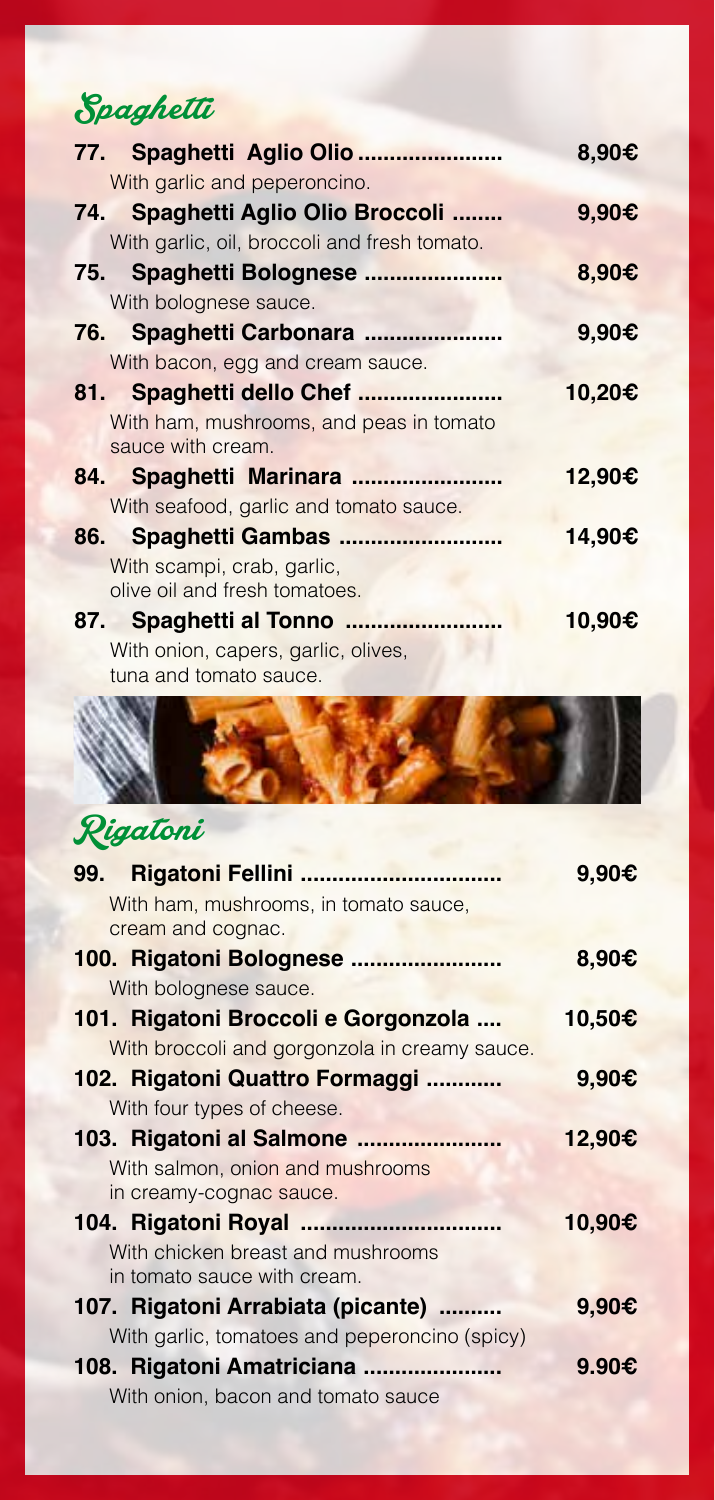## Spaghetti

|                                                              | 8,90€           |
|--------------------------------------------------------------|-----------------|
| With garlic and peperoncino.                                 |                 |
| 74. Spaghetti Aglio Olio Broccoli                            | 9.90C           |
| With garlic, oil, broccoli and fresh tomato.                 |                 |
| 75. Spaghetti Bolognese                                      | 8,90 $\epsilon$ |
| With bolognese sauce.                                        |                 |
| 76. Spaghetti Carbonara                                      | 9.90€           |
| With bacon, egg and cream sauce.                             |                 |
| 81. Spaghetti dello Chef                                     | 10,20€          |
| With ham, mushrooms, and peas in tomato<br>sauce with cream. |                 |
| 84. Spaghetti Marinara                                       | 12,90€          |
| With seafood, garlic and tomato sauce.                       |                 |
| 86. Spaghetti Gambas                                         | 14,90€          |
| With scampi, crab, garlic,                                   |                 |
| olive oil and fresh tomatoes.                                |                 |
| 87. Spaghetti al Tonno                                       | 10,90€          |
| With onion, capers, garlic, olives,                          |                 |
| tuna and tomato sauce.                                       |                 |



|                                               | 9.90€           |
|-----------------------------------------------|-----------------|
| With ham, mushrooms, in tomato sauce,         |                 |
| cream and cognac.                             |                 |
| 100. Rigatoni Bolognese                       | 8,90 $\epsilon$ |
| With bolognese sauce.                         |                 |
| 101. Rigatoni Broccoli e Gorgonzola           | 10,50€          |
| With broccoli and gorgonzola in creamy sauce. |                 |
| 102. Rigatoni Quattro Formaggi                | 9.90C           |
| With four types of cheese.                    |                 |
| 103. Rigatoni al Salmone                      | 12,90€          |
| With salmon, onion and mushrooms              |                 |
| in creamy-cognac sauce.                       |                 |
|                                               | 10,90€          |
| With chicken breast and mushrooms             |                 |
| in tomato sauce with cream.                   |                 |
| 107. Rigatoni Arrabiata (picante)             | 9,90€           |
| With garlic, tomatoes and peperoncino (spicy) |                 |
| 108. Rigatoni Amatriciana                     | 9.90€           |
| With onion, bacon and tomato sauce            |                 |